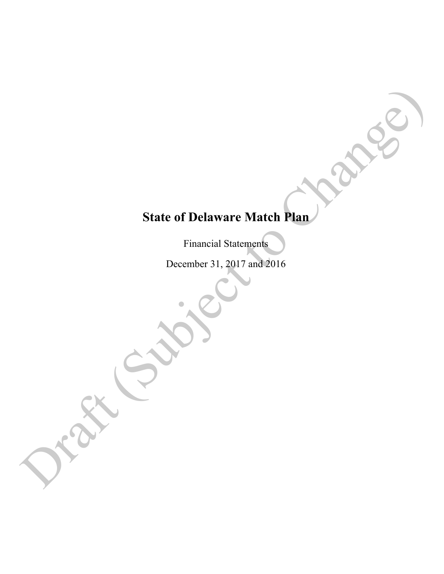# **State of Delaware Match Plan**  State of Delaware Match Plan (CONCE)<br>
Financial Statement<br>
December 31, 2017 and 2016<br>
CONCE<br>
December 31, 2017 and 2016

Financial Statements

December 31, 2017 and 2016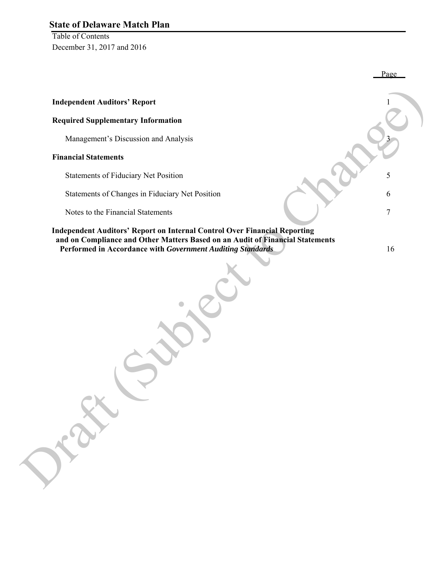Table of Contents December 31, 2017 and 2016

|                                                                                                                                             | Page   |
|---------------------------------------------------------------------------------------------------------------------------------------------|--------|
| <b>Independent Auditors' Report</b>                                                                                                         |        |
| <b>Required Supplementary Information</b>                                                                                                   |        |
| Management's Discussion and Analysis                                                                                                        |        |
| <b>Financial Statements</b>                                                                                                                 |        |
| Statements of Fiduciary Net Position                                                                                                        | 5      |
| Statements of Changes in Fiduciary Net Position                                                                                             | 6      |
| Notes to the Financial Statements                                                                                                           | $\tau$ |
| Independent Auditors' Report on Internal Control Over Financial Reporting                                                                   |        |
| and on Compliance and Other Matters Based on an Audit of Financial Statements<br>Performed in Accordance with Government Auditing Standards | 16     |
| $\overline{\phantom{a}}$<br>ERK                                                                                                             |        |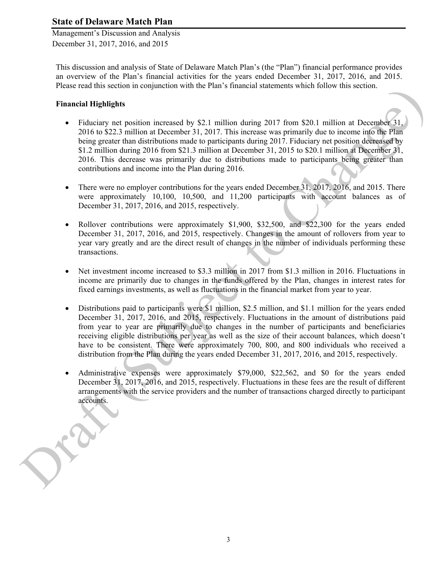Management's Discussion and Analysis December 31, 2017, 2016, and 2015

This discussion and analysis of State of Delaware Match Plan's (the "Plan") financial performance provides an overview of the Plan's financial activities for the years ended December 31, 2017, 2016, and 2015. Please read this section in conjunction with the Plan's financial statements which follow this section.

### **Financial Highlights**

- Fiduciary net position increased by \$2.1 million during 2017 from \$20.1 million at December 31, 2016 to \$22.3 million at December 31, 2017. This increase was primarily due to income into the Plan being greater than distributions made to participants during 2017. Fiduciary net position decreased by \$1.2 million during 2016 from \$21.3 million at December 31, 2015 to \$20.1 million at December 31, 2016. This decrease was primarily due to distributions made to participants being greater than contributions and income into the Plan during 2016. Pluses tead line section<br>
Financial Highle Miss between the Drama Themeculo shared to River and the Changes of the Changes of the Changes of the Changes of the Changes of the Changes of the Changes of the Changes of the C
	- There were no employer contributions for the years ended December 31, 2017, 2016, and 2015. There were approximately 10,100, 10,500, and 11,200 participants with account balances as of December 31, 2017, 2016, and 2015, respectively.
	- Rollover contributions were approximately \$1,900, \$32,500, and \$22,300 for the years ended December 31, 2017, 2016, and 2015, respectively. Changes in the amount of rollovers from year to year vary greatly and are the direct result of changes in the number of individuals performing these transactions.
	- Net investment income increased to \$3.3 million in 2017 from \$1.3 million in 2016. Fluctuations in income are primarily due to changes in the funds offered by the Plan, changes in interest rates for fixed earnings investments, as well as fluctuations in the financial market from year to year.
	- Distributions paid to participants were \$1 million, \$2.5 million, and \$1.1 million for the years ended December 31, 2017, 2016, and 2015, respectively. Fluctuations in the amount of distributions paid from year to year are primarily due to changes in the number of participants and beneficiaries receiving eligible distributions per year as well as the size of their account balances, which doesn't have to be consistent. There were approximately 700, 800, and 800 individuals who received a distribution from the Plan during the years ended December 31, 2017, 2016, and 2015, respectively.
	- Administrative expenses were approximately \$79,000, \$22,562, and \$0 for the years ended December 31, 2017, 2016, and 2015, respectively. Fluctuations in these fees are the result of different arrangements with the service providers and the number of transactions charged directly to participant accounts.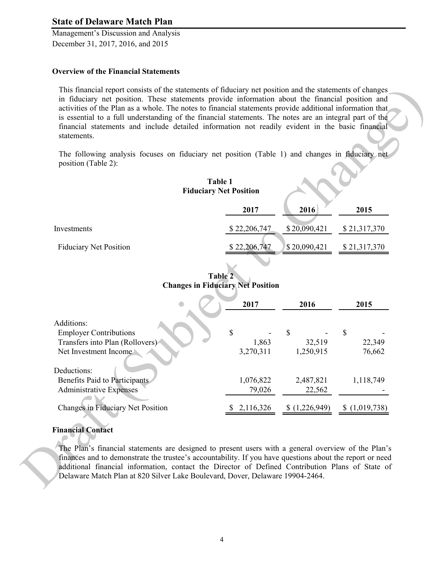Management's Discussion and Analysis December 31, 2017, 2016, and 2015

#### **Overview of the Financial Statements**

#### **Table 1 Fiduciary Net Position**

|                               | 2017         | 2016         | 2015         |
|-------------------------------|--------------|--------------|--------------|
| Investments                   | \$22,206,747 | \$20,090,421 | \$21,317,370 |
| <b>Fiduciary Net Position</b> | \$22,206,747 | \$20,090,421 | \$21,317,370 |

**Table 2 Changes in Fiduciary Net Position**

|                               |                                               | in fiduciary net position. These statements provide information about the financial position and |                                                                                                                                                                                                                                                                                                                                                                                                                                                         |
|-------------------------------|-----------------------------------------------|--------------------------------------------------------------------------------------------------|---------------------------------------------------------------------------------------------------------------------------------------------------------------------------------------------------------------------------------------------------------------------------------------------------------------------------------------------------------------------------------------------------------------------------------------------------------|
|                               |                                               |                                                                                                  |                                                                                                                                                                                                                                                                                                                                                                                                                                                         |
| <b>Table 1</b>                |                                               |                                                                                                  |                                                                                                                                                                                                                                                                                                                                                                                                                                                         |
| <b>Fiduciary Net Position</b> |                                               |                                                                                                  |                                                                                                                                                                                                                                                                                                                                                                                                                                                         |
| 2017                          | 2016                                          | 2015                                                                                             |                                                                                                                                                                                                                                                                                                                                                                                                                                                         |
| \$22,206,747                  | \$20,090,421                                  | \$21,317,370                                                                                     |                                                                                                                                                                                                                                                                                                                                                                                                                                                         |
| \$22,206,747                  | \$20,090,421                                  | \$21,317,370                                                                                     |                                                                                                                                                                                                                                                                                                                                                                                                                                                         |
|                               |                                               |                                                                                                  |                                                                                                                                                                                                                                                                                                                                                                                                                                                         |
|                               |                                               |                                                                                                  |                                                                                                                                                                                                                                                                                                                                                                                                                                                         |
| 2017                          | 2016                                          | 2015                                                                                             |                                                                                                                                                                                                                                                                                                                                                                                                                                                         |
|                               |                                               |                                                                                                  |                                                                                                                                                                                                                                                                                                                                                                                                                                                         |
|                               |                                               |                                                                                                  |                                                                                                                                                                                                                                                                                                                                                                                                                                                         |
| 3,270,311                     | 1,250,915                                     | 76,662                                                                                           |                                                                                                                                                                                                                                                                                                                                                                                                                                                         |
|                               |                                               |                                                                                                  |                                                                                                                                                                                                                                                                                                                                                                                                                                                         |
|                               |                                               |                                                                                                  |                                                                                                                                                                                                                                                                                                                                                                                                                                                         |
|                               |                                               |                                                                                                  |                                                                                                                                                                                                                                                                                                                                                                                                                                                         |
| 2,116,326                     | (1,226,949)                                   | \$(1,019,738)                                                                                    |                                                                                                                                                                                                                                                                                                                                                                                                                                                         |
|                               | Table 2<br>\$<br>1,863<br>1,076,822<br>79,026 | <b>Changes in Fiduciary Net Position</b><br>\$<br>32,519<br>2,487,821<br>22,562                  | activities of the Plan as a whole. The notes to financial statements provide additional information that<br>is essential to a full understanding of the financial statements. The notes are an integral part of the<br>financial statements and include detailed information not readily evident in the basic financial<br>The following analysis focuses on fiduciary net position (Table 1) and changes in fiduciary net<br>\$<br>22,349<br>1,118,749 |

#### **Financial Contact**

The Plan's financial statements are designed to present users with a general overview of the Plan's finances and to demonstrate the trustee's accountability. If you have questions about the report or need additional financial information, contact the Director of Defined Contribution Plans of State of The Plan's financial School Changes in Fiduciary N<br>
Financial Contact<br>
The Plan's financial st<br>
finances and to demons<br>
additional financial in<br>
Delaware Match Plan a Delaware Match Plan at 820 Silver Lake Boulevard, Dover, Delaware 19904-2464.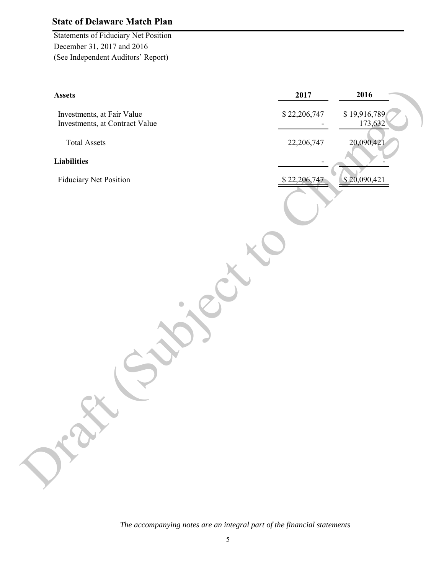Statements of Fiduciary Net Position December 31, 2017 and 2016 (See Independent Auditors' Report)

| <b>Assets</b>                                                | 2017         | 2016                    |
|--------------------------------------------------------------|--------------|-------------------------|
| Investments, at Fair Value<br>Investments, at Contract Value | \$22,206,747 | \$19,916,789<br>173,632 |
| <b>Total Assets</b>                                          | 22,206,747   | 20,090,421              |
| <b>Liabilities</b>                                           |              |                         |
| <b>Fiduciary Net Position</b>                                | \$22,206,747 | \$20,090,421            |
|                                                              |              |                         |
|                                                              |              |                         |
|                                                              |              |                         |
| Oraz                                                         |              |                         |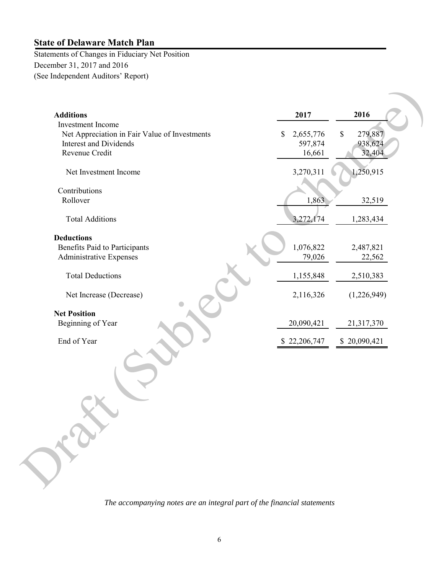Draft R

Statements of Changes in Fiduciary Net Position December 31, 2017 and 2016 (See Independent Auditors' Report)

| <b>Additions</b>                              | 2017                       | 2016                    |
|-----------------------------------------------|----------------------------|-------------------------|
| <b>Investment</b> Income                      |                            |                         |
| Net Appreciation in Fair Value of Investments | 2,655,776<br>$\mathcal{S}$ | 279,887<br>$\mathbb{S}$ |
| <b>Interest and Dividends</b>                 | 597,874                    | 938,624                 |
| Revenue Credit                                | 16,661                     | 32,404                  |
| Net Investment Income                         | 3,270,311                  | 1,250,915               |
| Contributions                                 |                            |                         |
| Rollover                                      | 1,863                      | 32,519                  |
|                                               |                            |                         |
| <b>Total Additions</b>                        | 3,272,174                  | 1,283,434               |
| <b>Deductions</b>                             |                            |                         |
| <b>Benefits Paid to Participants</b>          | 1,076,822                  | 2,487,821               |
| Administrative Expenses                       | 79,026                     | 22,562                  |
|                                               |                            |                         |
| <b>Total Deductions</b>                       | 1,155,848                  | 2,510,383               |
| Net Increase (Decrease)                       | 2,116,326                  | (1,226,949)             |
| <b>Net Position</b>                           |                            |                         |
| Beginning of Year                             | 20,090,421                 | 21,317,370              |
| End of Year                                   | \$22,206,747               | \$20,090,421            |
|                                               |                            |                         |

*The accompanying notes are an integral part of the financial statements*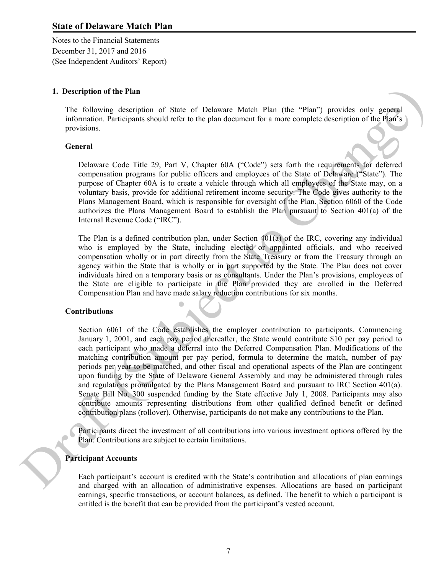Notes to the Financial Statements December 31, 2017 and 2016 (See Independent Auditors' Report)

#### **1. Description of the Plan**

The following description of State of Delaware Match Plan (the "Plan") provides only general information. Participants should refer to the plan document for a more complete description of the Plan's provisions.

#### **General**

Delaware Code Title 29, Part V, Chapter 60A ("Code") sets forth the requirements for deferred compensation programs for public officers and employees of the State of Delaware ("State"). The purpose of Chapter 60A is to create a vehicle through which all employees of the State may, on a voluntary basis, provide for additional retirement income security. The Code gives authority to the Plans Management Board, which is responsible for oversight of the Plan. Section 6060 of the Code authorizes the Plans Management Board to establish the Plan pursuant to Section 401(a) of the Internal Revenue Code ("IRC").

The Plan is a defined contribution plan, under Section 401(a) of the IRC, covering any individual who is employed by the State, including elected or appointed officials, and who received compensation wholly or in part directly from the State Treasury or from the Treasury through an agency within the State that is wholly or in part supported by the State. The Plan does not cover individuals hired on a temporary basis or as consultants. Under the Plan's provisions, employees of the State are eligible to participate in the Plan provided they are enrolled in the Deferred Compensation Plan and have made salary reduction contributions for six months.

#### **Contributions**

Section 6061 of the Code establishes the employer contribution to participants. Commencing January 1, 2001, and each pay period thereafter, the State would contribute \$10 per pay period to each participant who made a deferral into the Deferred Compensation Plan. Modifications of the matching contribution amount per pay period, formula to determine the match, number of pay periods per year to be matched, and other fiscal and operational aspects of the Plan are contingent upon funding by the State of Delaware General Assembly and may be administered through rules and regulations promulgated by the Plans Management Board and pursuant to IRC Section 401(a). Senate Bill No. 300 suspended funding by the State effective July 1, 2008. Participants may also contribute amounts representing distributions from other qualified defined benefit or defined contribution plans (rollover). Otherwise, participants do not make any contributions to the Plan. Senate Bill No.<br>
contribute amous<br>
contribution plans<br>
Participants directed<br>
Plan. Contribution<br>
Participant Account<br>
Each participant'<br>
and charged with **of the Plan**<br>
and description of State of Delaware Match Plan (the "Plan") provides only general<br>
Participants should refer to the plan document for a more complete description of the Plan"s<br>
Participants should refer to

Participants direct the investment of all contributions into various investment options offered by the Plan. Contributions are subject to certain limitations.

#### **Participant Accounts**

Each participant's account is credited with the State's contribution and allocations of plan earnings and charged with an allocation of administrative expenses. Allocations are based on participant earnings, specific transactions, or account balances, as defined. The benefit to which a participant is entitled is the benefit that can be provided from the participant's vested account.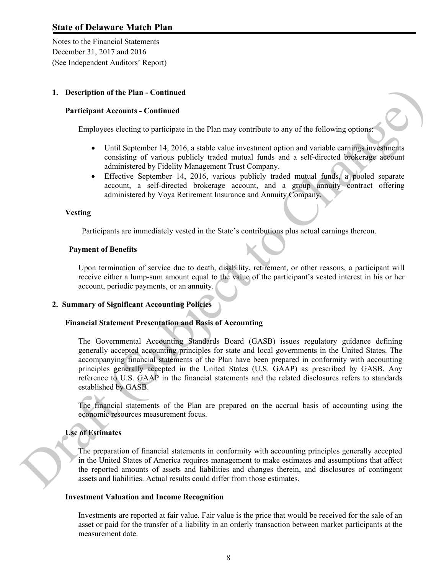Notes to the Financial Statements December 31, 2017 and 2016 (See Independent Auditors' Report)

#### **1. Description of the Plan - Continued**

#### **Participant Accounts - Continued**

Employees electing to participate in the Plan may contribute to any of the following options:

- Until September 14, 2016, a stable value investment option and variable earnings investments consisting of various publicly traded mutual funds and a self-directed brokerage account administered by Fidelity Management Trust Company.
- Effective September 14, 2016, various publicly traded mutual funds, a pooled separate account, a self-directed brokerage account, and a group annuity contract offering administered by Voya Retirement Insurance and Annuity Company.

#### **Vesting**

Participants are immediately vested in the State's contributions plus actual earnings thereon.

#### **Payment of Benefits**

Upon termination of service due to death, disability, retirement, or other reasons, a participant will receive either a lump-sum amount equal to the value of the participant's vested interest in his or her account, periodic payments, or an annuity.

#### **2. Summary of Significant Accounting Policies**

#### **Financial Statement Presentation and Basis of Accounting**

The Governmental Accounting Standards Board (GASB) issues regulatory guidance defining generally accepted accounting principles for state and local governments in the United States. The accompanying financial statements of the Plan have been prepared in conformity with accounting principles generally accepted in the United States (U.S. GAAP) as prescribed by GASB. Any reference to U.S. GAAP in the financial statements and the related disclosures refers to standards established by GASB. 1. Description of the Plan - Continued<br>
Participant Accounts - Continued<br>
Employees checking the particle into Fian any contribute to any of the following optical<br>  $\bullet$  Mindistripant (A various probably brited authority u

The financial statements of the Plan are prepared on the accrual basis of accounting using the economic resources measurement focus.

#### **Use of Estimates**

The preparation of financial statements in conformity with accounting principles generally accepted in the United States of America requires management to make estimates and assumptions that affect the reported amounts of assets and liabilities and changes therein, and disclosures of contingent assets and liabilities. Actual results could differ from those estimates.

#### **Investment Valuation and Income Recognition**

Investments are reported at fair value. Fair value is the price that would be received for the sale of an asset or paid for the transfer of a liability in an orderly transaction between market participants at the measurement date.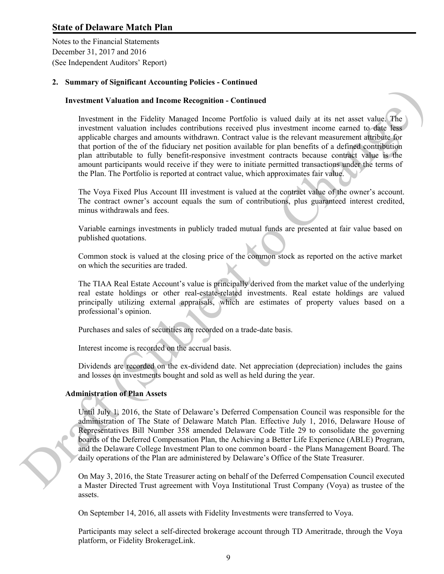Notes to the Financial Statements December 31, 2017 and 2016 (See Independent Auditors' Report)

#### **2. Summary of Significant Accounting Policies - Continued**

#### **Investment Valuation and Income Recognition - Continued**

Investment in the Fidelity Managed Income Portfolio is valued daily at its net asset value. The investment valuation includes contributions received plus investment income earned to date less applicable charges and amounts withdrawn. Contract value is the relevant measurement attribute for that portion of the of the fiduciary net position available for plan benefits of a defined contribution plan attributable to fully benefit-responsive investment contracts because contract value is the amount participants would receive if they were to initiate permitted transactions under the terms of the Plan. The Portfolio is reported at contract value, which approximates fair value. Investment Valuation and Insoem Recognition - Continued<br>Investment Valuation and Insoem Recognition - Continued and y at its act associated procedure valuation includes contribution recovered plus investment issues. The in

The Voya Fixed Plus Account III investment is valued at the contract value of the owner's account. The contract owner's account equals the sum of contributions, plus guaranteed interest credited, minus withdrawals and fees.

Variable earnings investments in publicly traded mutual funds are presented at fair value based on published quotations.

Common stock is valued at the closing price of the common stock as reported on the active market on which the securities are traded.

The TIAA Real Estate Account's value is principally derived from the market value of the underlying real estate holdings or other real-estate-related investments. Real estate holdings are valued principally utilizing external appraisals, which are estimates of property values based on a professional's opinion.

Purchases and sales of securities are recorded on a trade-date basis.

Interest income is recorded on the accrual basis.

Dividends are recorded on the ex-dividend date. Net appreciation (depreciation) includes the gains and losses on investments bought and sold as well as held during the year.

#### **Administration of Plan Assets**

Until July 1, 2016, the State of Delaware's Deferred Compensation Council was responsible for the administration of The State of Delaware Match Plan. Effective July 1, 2016, Delaware House of Representatives Bill Number 358 amended Delaware Code Title 29 to consolidate the governing boards of the Deferred Compensation Plan, the Achieving a Better Life Experience (ABLE) Program, and the Delaware College Investment Plan to one common board - the Plans Management Board. The daily operations of the Plan are administered by Delaware's Office of the State Treasurer.

On May 3, 2016, the State Treasurer acting on behalf of the Deferred Compensation Council executed a Master Directed Trust agreement with Voya Institutional Trust Company (Voya) as trustee of the assets.

On September 14, 2016, all assets with Fidelity Investments were transferred to Voya.

Participants may select a self-directed brokerage account through TD Ameritrade, through the Voya platform, or Fidelity BrokerageLink.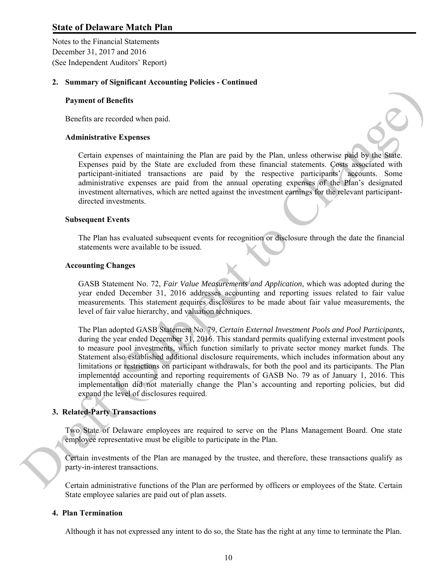Notes to the Financial Statements December 31, 2017 and 2016 (See Independent Auditors' Report)

#### **2. Summary of Significant Accounting Policies - Continued**

#### **Payment of Benefits**

Benefits are recorded when paid.

#### **Administrative Expenses**

Certain expenses of maintaining the Plan are paid by the Plan, unless otherwise paid by the State. Expenses paid by the State are excluded from these financial statements. Costs associated with participant-initiated transactions are paid by the respective participants' accounts. Some administrative expenses are paid from the annual operating expenses of the Plan's designated investment alternatives, which are netted against the investment earnings for the relevant participantdirected investments.

#### **Subsequent Events**

The Plan has evaluated subsequent events for recognition or disclosure through the date the financial statements were available to be issued.

#### **Accounting Changes**

GASB Statement No. 72, *Fair Value Measurements and Application*, which was adopted during the year ended December 31, 2016 addresses accounting and reporting issues related to fair value measurements. This statement requires disclosures to be made about fair value measurements, the level of fair value hierarchy, and valuation techniques.

The Plan adopted GASB Statement No. 79, *Certain External Investment Pools and Pool Participants,*  during the year ended December 31, 2016. This standard permits qualifying external investment pools to measure pool investments, which function similarly to private sector money market funds. The Statement also established additional disclosure requirements, which includes information about any limitations or restrictions on participant withdrawals, for both the pool and its participants. The Plan implemented accounting and reporting requirements of GASB No. 79 as of January 1, 2016. This implementation did not materially change the Plan's accounting and reporting policies, but did expand the level of disclosures required. **Payment of Benefits**<br> **Payment of Benefits**<br> **Denotion and Administrative Expenses**<br> **Centin** expresses of mathematic the Plan are paid by the Plan, nelses otherwise paid with the<br>
Expanses paid by the State are excluded

#### **3. Related-Party Transactions**

Two State of Delaware employees are required to serve on the Plans Management Board. One state employee representative must be eligible to participate in the Plan.

Certain investments of the Plan are managed by the trustee, and therefore, these transactions qualify as party-in-interest transactions.

Certain administrative functions of the Plan are performed by officers or employees of the State. Certain State employee salaries are paid out of plan assets.

#### **4. Plan Termination**

Although it has not expressed any intent to do so, the State has the right at any time to terminate the Plan.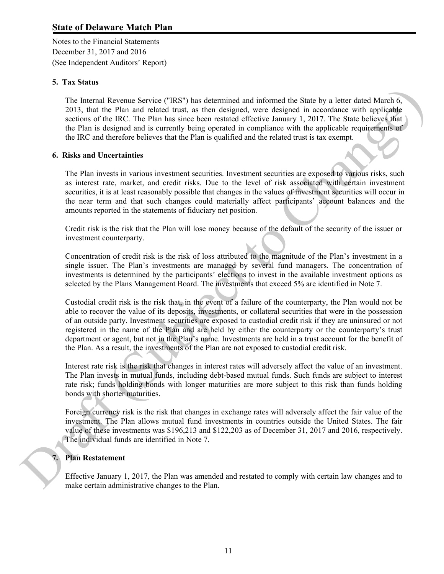Notes to the Financial Statements December 31, 2017 and 2016 (See Independent Auditors' Report)

#### **5. Tax Status**

The Internal Revenue Service ("IRS") has determined and informed the State by a letter dated March 6, 2013, that the Plan and related trust, as then designed, were designed in accordance with applicable sections of the IRC. The Plan has since been restated effective January 1, 2017. The State believes that the Plan is designed and is currently being operated in compliance with the applicable requirements of the IRC and therefore believes that the Plan is qualified and the related trust is tax exempt.

#### **6. Risks and Uncertainties**

The Plan invests in various investment securities. Investment securities are exposed to various risks, such as interest rate, market, and credit risks. Due to the level of risk associated with certain investment securities, it is at least reasonably possible that changes in the values of investment securities will occur in the near term and that such changes could materially affect participants' account balances and the amounts reported in the statements of fiduciary net position.

Credit risk is the risk that the Plan will lose money because of the default of the security of the issuer or investment counterparty.

Concentration of credit risk is the risk of loss attributed to the magnitude of the Plan's investment in a single issuer. The Plan's investments are managed by several fund managers. The concentration of investments is determined by the participants' elections to invest in the available investment options as selected by the Plans Management Board. The investments that exceed 5% are identified in Note 7.

Custodial credit risk is the risk that, in the event of a failure of the counterparty, the Plan would not be able to recover the value of its deposits, investments, or collateral securities that were in the possession of an outside party. Investment securities are exposed to custodial credit risk if they are uninsured or not registered in the name of the Plan and are held by either the counterparty or the counterparty's trust department or agent, but not in the Plan's name. Investments are held in a trust account for the benefit of the Plan. As a result, the investments of the Plan are not exposed to custodial credit risk. Revenue Service ("RS5") has determined and informed the State by a letter dated March 6,<br>re Plan and related trust, as then designed, were designed in accordance with applicable<br>les (RC. The Plan has since been restated e

Interest rate risk is the risk that changes in interest rates will adversely affect the value of an investment. The Plan invests in mutual funds, including debt-based mutual funds. Such funds are subject to interest rate risk; funds holding bonds with longer maturities are more subject to this risk than funds holding bonds with shorter maturities.

Foreign currency risk is the risk that changes in exchange rates will adversely affect the fair value of the investment. The Plan allows mutual fund investments in countries outside the United States. The fair value of these investments was \$196,213 and \$122,203 as of December 31, 2017 and 2016, respectively. The individual funds are identified in Note 7. bonds with shorter manufactured in the Plan<br>
Foreign currency risk<br>
investment. The Plan<br>
value of these investre<br>
The individual funds<br>
7. Plan Restatement<br>
Effective January 1, 2<br>
make certain administ

#### **7. Plan Restatement**

Effective January 1, 2017, the Plan was amended and restated to comply with certain law changes and to make certain administrative changes to the Plan.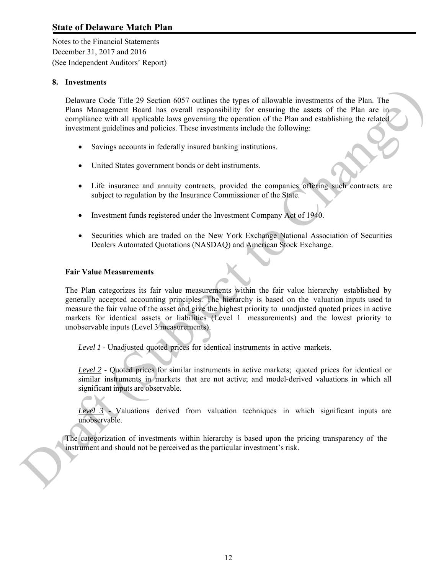Notes to the Financial Statements December 31, 2017 and 2016 (See Independent Auditors' Report)

#### **8. Investments**

Delaware Code Title 29 Section 6057 outlines the types of allowable investments of the Plan. The Plans Management Board has overall responsibility for ensuring the assets of the Plan are in compliance with all applicable laws governing the operation of the Plan and establishing the related investment guidelines and policies. These investments include the following:

- Savings accounts in federally insured banking institutions.
- United States government bonds or debt instruments.
- Life insurance and annuity contracts, provided the companies offering such contracts are subject to regulation by the Insurance Commissioner of the State.
- Investment funds registered under the Investment Company Act of 1940.
- Securities which are traded on the New York Exchange National Association of Securities Dealers Automated Quotations (NASDAQ) and American Stock Exchange.

#### **Fair Value Measurements**

The Plan categorizes its fair value measurements within the fair value hierarchy established by generally accepted accounting principles. The hierarchy is based on the valuation inputs used to measure the fair value of the asset and give the highest priority to unadjusted quoted prices in active markets for identical assets or liabilities (Level 1 measurements) and the lowest priority to unobservable inputs (Level 3 measurements). Delaware Co5e Titie 29 Section 6697 outlines the types of allowable investments of the Plan. The Plane Monumentent linear area in equivalently for example the sects of the Plan and the Plane are the method investment guid

*Level 1* - Unadjusted quoted prices for identical instruments in active markets.

*Level 2* - Quoted prices for similar instruments in active markets; quoted prices for identical or similar instruments in markets that are not active; and model-derived valuations in which all significant inputs are observable.

*Level 3* - Valuations derived from valuation techniques in which significant inputs are unobservable.

The categorization of investments within hierarchy is based upon the pricing transparency of the instrument and should not be perceived as the particular investment's risk.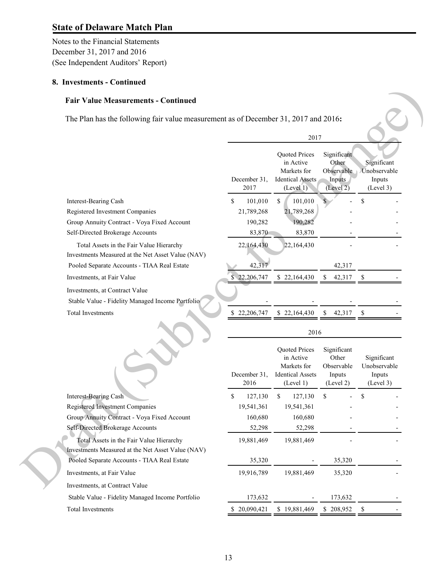Notes to the Financial Statements December 31, 2017 and 2016 (See Independent Auditors' Report)

#### **8. Investments - Continued**

#### **Fair Value Measurements - Continued**

| The Plan has the following fair value measurement as of December 31, 2017 and 2016:           |                      |                                                                                   |                                                           |                                                    |
|-----------------------------------------------------------------------------------------------|----------------------|-----------------------------------------------------------------------------------|-----------------------------------------------------------|----------------------------------------------------|
|                                                                                               |                      | 2017                                                                              |                                                           |                                                    |
|                                                                                               | December 31,<br>2017 | Quoted Prices<br>in Active<br>Markets for<br><b>Identical Assets</b><br>(Level 1) | Significant<br>Other<br>Observable<br>Inputs<br>(Level 2) | Significant<br>Unobservable<br>Inputs<br>(Level 3) |
| Interest-Bearing Cash                                                                         | \$<br>101,010        | \$<br>101,010                                                                     |                                                           | \$                                                 |
| Registered Investment Companies                                                               | 21,789,268           | 21,789,268                                                                        |                                                           |                                                    |
| Group Annuity Contract - Voya Fixed Account                                                   | 190,282              | 190,282                                                                           |                                                           |                                                    |
| Self-Directed Brokerage Accounts                                                              | 83,870               | 83,870                                                                            |                                                           |                                                    |
| Total Assets in the Fair Value Hierarchy<br>Investments Measured at the Net Asset Value (NAV) | 22,164,430           | 22,164,430                                                                        |                                                           |                                                    |
| Pooled Separate Accounts - TIAA Real Estate                                                   | 42,317               |                                                                                   | 42,317                                                    |                                                    |
| Investments, at Fair Value                                                                    | \$22,206,747         | \$22,164,430                                                                      | 42,317<br>\$                                              | <sup>\$</sup>                                      |
| Investments, at Contract Value<br>Stable Value - Fidelity Managed Income Portfolio            |                      |                                                                                   |                                                           |                                                    |
| Total Investments                                                                             | \$22,206,747         | \$22,164,430                                                                      | \$<br>42,317                                              | \$                                                 |
|                                                                                               |                      | 2016                                                                              |                                                           |                                                    |
|                                                                                               | December 31,         | Quoted Prices<br>in Active<br>Markets for<br><b>Identical Assets</b>              | Significant<br>Other<br>Observable<br>Inputs              | Significant<br>Unobservable<br>Inputs              |
|                                                                                               | 2016                 | (Level 1)                                                                         | (Level 2)                                                 | (Level 3)                                          |
| Interest-Bearing Cash                                                                         | \$<br>127,130        | \$<br>127,130                                                                     | \$                                                        | \$                                                 |
| Registered Investment Companies                                                               | 19,541,361           | 19,541,361                                                                        |                                                           |                                                    |
| Group Annuity Contract - Voya Fixed Account                                                   | 160,680              | 160,680                                                                           |                                                           |                                                    |
| <b>Self-Directed Brokerage Accounts</b>                                                       | 52,298               | 52,298                                                                            |                                                           |                                                    |
| Total Assets in the Fair Value Hierarchy<br>Investments Measured at the Net Asset Value (NAV) | 19,881,469           | 19,881,469                                                                        |                                                           |                                                    |
| Pooled Separate Accounts - TIAA Real Estate                                                   | 35,320               |                                                                                   | 35,320                                                    |                                                    |
| Investments, at Fair Value                                                                    | 19,916,789           | 19,881,469                                                                        | 35,320                                                    |                                                    |
| Investments, at Contract Value                                                                |                      |                                                                                   |                                                           |                                                    |
| Stable Value - Fidelity Managed Income Portfolio                                              | 173,632              |                                                                                   | 173,632                                                   |                                                    |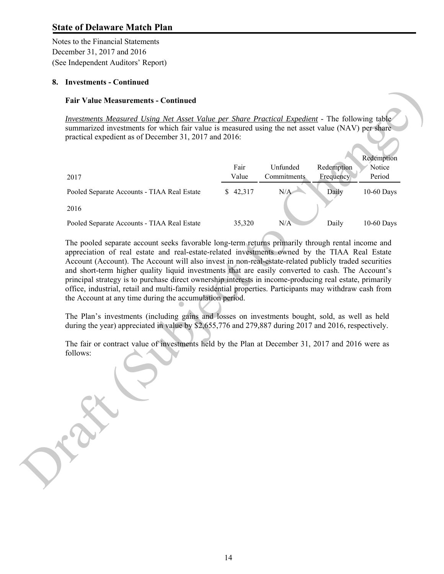Notes to the Financial Statements December 31, 2017 and 2016 (See Independent Auditors' Report)

#### **8. Investments - Continued**

#### **Fair Value Measurements - Continued**

| 2017                                                                                                                                                                                                                                                                                                                                                                          | Fair<br>Value | Unfunded<br>Commitments | Redemption<br>Frequency | Redemption<br>Notice<br>Period |
|-------------------------------------------------------------------------------------------------------------------------------------------------------------------------------------------------------------------------------------------------------------------------------------------------------------------------------------------------------------------------------|---------------|-------------------------|-------------------------|--------------------------------|
| Pooled Separate Accounts - TIAA Real Estate                                                                                                                                                                                                                                                                                                                                   | \$42,317      | N/A                     | Daily                   | 10-60 Days                     |
| 2016                                                                                                                                                                                                                                                                                                                                                                          |               |                         |                         |                                |
| Pooled Separate Accounts - TIAA Real Estate                                                                                                                                                                                                                                                                                                                                   | 35,320        | N/A                     | Daily                   | 10-60 Days                     |
| office, industrial, retail and multi-family residential properties. Participants may withdraw cash from<br>the Account at any time during the accumulation period.<br>The Plan's investments (including gains and losses on investments bought, sold, as well as held<br>during the year) appreciated in value by \$2,655,776 and 279,887 during 2017 and 2016, respectively. |               |                         |                         |                                |
| The fair or contract value of investments held by the Plan at December 31, 2017 and 2016 were as<br>follows:                                                                                                                                                                                                                                                                  |               |                         |                         |                                |
|                                                                                                                                                                                                                                                                                                                                                                               |               |                         |                         |                                |